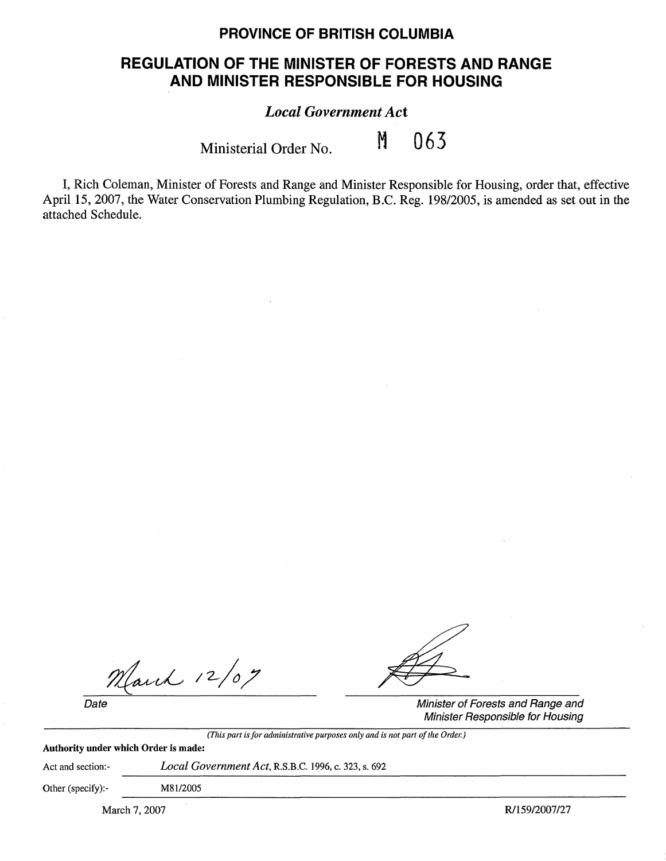## **PROVINCE OF BRITISH COLUMBIA**

## **REGULATION OF THE MINISTER OF FORESTS AND RANGE AND MINISTER RESPONSIBLE FOR HOUSING**

## *Local Government Act*

Ministerial Order No. **M 063** 

I, Rich Coleman, Minister of Forests and Range and Minister Responsible for Housing, order that, effective April 15, 2007, the Water Conservation Plumbing Regulation, B.C. Reg. 198/2005, is amended as set out in the attached Schedule.

March 12/07

*(This part is for administrative purposes only and is not part of the Order.)* 

Date **Date** Minister of Forests and Range and Minister Responsible for Housing

**Authority under which Order is made:** 

Act and section:- *Local Government Act,* R.S.B.C. 1996, c. 323, s. 692

Other (specify):- MSl/2005

March 7, 2007 **R/159/2007 R/159/2007**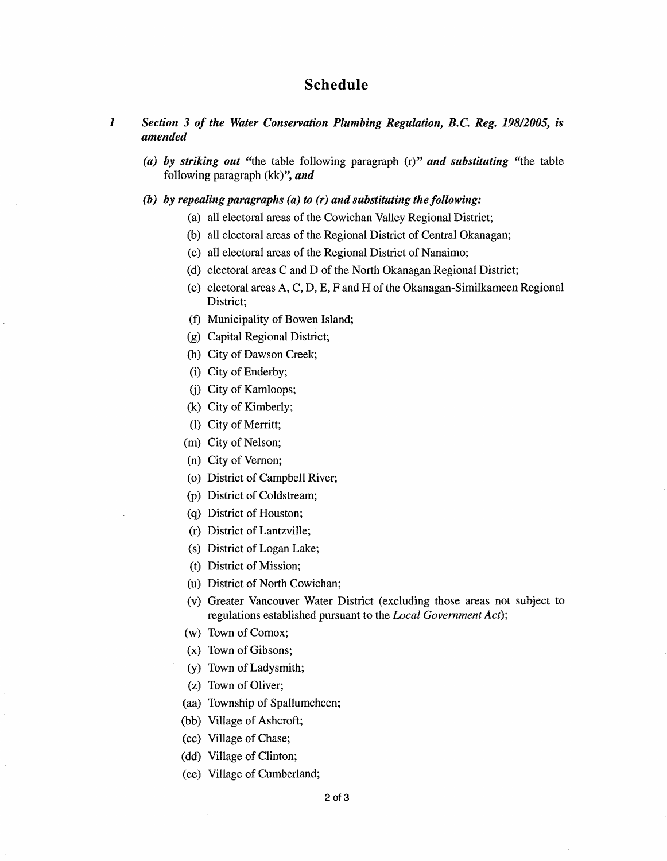## **Schedule**

- *1 Section 3 of the Water Conservation Plumbing Regulation, B.C. Reg. 198/2005, is amended* 
	- *(a)* **by** *striking out* "the table following paragraph (r)" *and substituting* "the table following paragraph (kk)", *and*
	- **(b) by** *repealing paragraphs (a) to (r) and substituting the following:* 
		- (a) all electoral areas of the Cowichan Valley Regional District;
		- (b) all electoral areas of the Regional District of Central Okanagan;
		- (c) all electoral areas of the Regional District of Nanaimo;
		- (d) electoral areas C and D of the North Okanagan Regional District;
		- (e) electoral areas A, C, D, E, F and Hof the Okanagan-Similkameen Regional District;
		- (f) Municipality of Bowen Island;
		- (g) Capital Regional District;
		- (h) City of Dawson Creek;
		- (i) City of Enderby;
		- G) City of Kamloops;
		- (k) City of Kimberly;
		- (1) City of Merritt;
		- (m) City of Nelson;
		- (n) City of Vernon;
		- (o) District of Campbell River;
		- (p) District of Coldstream;
		- (q) District of Houston;
		- (r) District of Lantzville;
		- (s) District of Logan Lake;
		- (t) District of Mission;
		- (u) District of North Cowichan;
		- (v) Greater Vancouver Water District (excluding those areas not subject to regulations established pursuant to the *Local Government Act);*
		- (w) Town of Comox;
		- (x) Town of Gibsons;
		- (y) Town of Ladysmith;
		- (z) Town of Oliver;
		- (aa) Township of Spallumcheen;
		- (bb) Village of Ashcroft;
		- (cc) Village of Chase;
		- (dd) Village of Clinton;
		- (ee) Village of Cumberland;

2 of 3